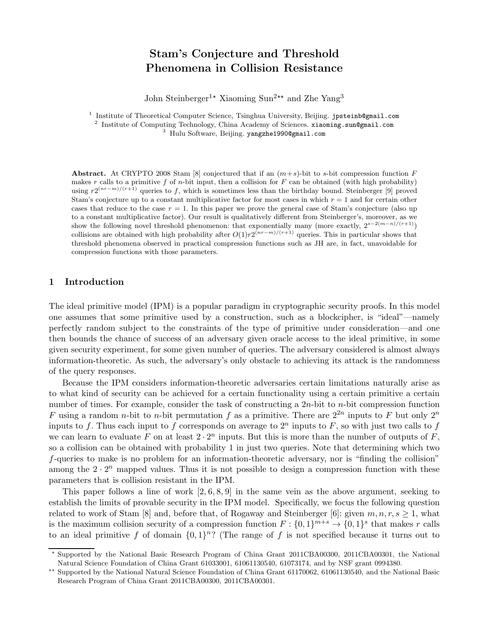# Stam's Conjecture and Threshold Phenomena in Collision Resistance

John Steinberger<sup>1★</sup> Xiaoming Sun<sup>2★★</sup> and Zhe Yang<sup>3</sup>

<sup>1</sup> Institute of Theoretical Computer Science, Tsinghua University, Beijing. jpsteinb@gmail.com <sup>2</sup> Institute of Computing Technology, China Academy of Sciences. xiaoming.sun@gmail.com

<sup>3</sup> Hulu Software, Beijing. yangzhe1990@gmail.com

Abstract. At CRYPTO 2008 Stam [8] conjectured that if an  $(m+s)$ -bit to s-bit compression function F makes r calls to a primitive f of n-bit input, then a collision for  $F$  can be obtained (with high probability) using  $r2^{(nr-m)/(r+1)}$  queries to f, which is sometimes less than the birthday bound. Steinberger [9] proved Stam's conjecture up to a constant multiplicative factor for most cases in which  $r = 1$  and for certain other cases that reduce to the case  $r = 1$ . In this paper we prove the general case of Stam's conjecture (also up to a constant multiplicative factor). Our result is qualitatively different from Steinberger's, moreover, as we show the following novel threshold phenomenon: that exponentially many (more exactly,  $2^{s-2(m-n)/(r+1)}$ ) collisions are obtained with high probability after  $O(1)r^{2(nr-m)/(r+1)}$  queries. This in particular shows that threshold phenomena observed in practical compression functions such as JH are, in fact, unavoidable for compression functions with those parameters.

### 1 Introduction

The ideal primitive model (IPM) is a popular paradigm in cryptographic security proofs. In this model one assumes that some primitive used by a construction, such as a blockcipher, is "ideal"—namely perfectly random subject to the constraints of the type of primitive under consideration—and one then bounds the chance of success of an adversary given oracle access to the ideal primitive, in some given security experiment, for some given number of queries. The adversary considered is almost always information-theoretic. As such, the adversary's only obstacle to achieving its attack is the randomness of the query responses.

Because the IPM considers information-theoretic adversaries certain limitations naturally arise as to what kind of security can be achieved for a certain functionality using a certain primitive a certain number of times. For example, consider the task of constructing a  $2n$ -bit to n-bit compression function F using a random *n*-bit to *n*-bit permutation f as a primitive. There are  $2^{2n}$  inputs to F but only  $2^n$ inputs to f. Thus each input to f corresponds on average to  $2^n$  inputs to F, so with just two calls to f we can learn to evaluate F on at least  $2 \cdot 2^n$  inputs. But this is more than the number of outputs of F, so a collision can be obtained with probability 1 in just two queries. Note that determining which two f-queries to make is no problem for an information-theoretic adversary, nor is "finding the collision" among the  $2 \cdot 2^n$  mapped values. Thus it is not possible to design a compression function with these parameters that is collision resistant in the IPM.

This paper follows a line of work  $[2, 6, 8, 9]$  in the same vein as the above argument, seeking to establish the limits of provable security in the IPM model. Specifically, we focus the following question related to work of Stam [8] and, before that, of Rogaway and Steinberger [6]: given  $m, n, r, s \ge 1$ , what is the maximum collision security of a compression function  $F: \{0,1\}^{m+s} \to \{0,1\}^s$  that makes r calls to an ideal primitive f of domain  $\{0,1\}^n$ ? (The range of f is not specified because it turns out to

<sup>⋆</sup> Supported by the National Basic Research Program of China Grant 2011CBA00300, 2011CBA00301, the National Natural Science Foundation of China Grant 61033001, 61061130540, 61073174, and by NSF grant 0994380.

<sup>\*\*</sup> Supported by the National Natural Science Foundation of China Grant 61170062, 61061130540, and the National Basic Research Program of China Grant 2011CBA00300, 2011CBA00301.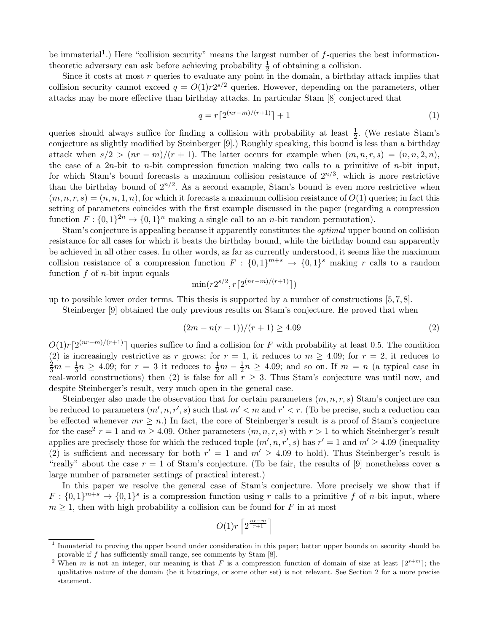be immaterial<sup>1</sup>.) Here "collision security" means the largest number of  $f$ -queries the best informationtheoretic adversary can ask before achieving probability  $\frac{1}{2}$  of obtaining a collision.

Since it costs at most r queries to evaluate any point in the domain, a birthday attack implies that collision security cannot exceed  $q = O(1) r 2^{s/2}$  queries. However, depending on the parameters, other attacks may be more effective than birthday attacks. In particular Stam [8] conjectured that

$$
q = r\left[2^{(nr-m)/(r+1)}\right] + 1\tag{1}
$$

queries should always suffice for finding a collision with probability at least  $\frac{1}{2}$ . (We restate Stam's conjecture as slightly modified by Steinberger [9].) Roughly speaking, this bound is less than a birthday attack when  $s/2 > (nr - m)/(r + 1)$ . The latter occurs for example when  $(m, n, r, s) = (n, n, 2, n)$ , the case of a 2n-bit to n-bit compression function making two calls to a primitive of n-bit input, for which Stam's bound forecasts a maximum collision resistance of  $2^{n/3}$ , which is more restrictive than the birthday bound of  $2^{n/2}$ . As a second example, Stam's bound is even more restrictive when  $(m, n, r, s) = (n, n, 1, n)$ , for which it forecasts a maximum collision resistance of  $O(1)$  queries; in fact this setting of parameters coincides with the first example discussed in the paper (regarding a compression function  $F: \{0,1\}^{2n} \to \{0,1\}^n$  making a single call to an *n*-bit random permutation).

Stam's conjecture is appealing because it apparently constitutes the optimal upper bound on collision resistance for all cases for which it beats the birthday bound, while the birthday bound can apparently be achieved in all other cases. In other words, as far as currently understood, it seems like the maximum collision resistance of a compression function  $F: \{0,1\}^{m+s} \to \{0,1\}^s$  making r calls to a random function  $f$  of *n*-bit input equals

$$
\min(r2^{s/2}, r\lceil 2^{(nr-m)/(r+1)}\rceil)
$$

up to possible lower order terms. This thesis is supported by a number of constructions [5, 7, 8].

Steinberger [9] obtained the only previous results on Stam's conjecture. He proved that when

$$
(2m - n(r - 1))/(r + 1) \ge 4.09
$$
 (2)

 $O(1)r\lceil 2^{(nr-m)/(r+1)}\rceil$  queries suffice to find a collision for F with probability at least 0.5. The condition (2) is increasingly restrictive as r grows; for  $r = 1$ , it reduces to  $m \geq 4.09$ ; for  $r = 2$ , it reduces to  $\frac{2}{3}m-\frac{1}{3}$  $\frac{1}{3}n \geq 4.09$ ; for  $r = 3$  it reduces to  $\frac{1}{2}m - \frac{1}{2}$  $\frac{1}{2}n \geq 4.09$ ; and so on. If  $m = n$  (a typical case in real-world constructions) then (2) is false for all  $r \geq 3$ . Thus Stam's conjecture was until now, and despite Steinberger's result, very much open in the general case.

Steinberger also made the observation that for certain parameters  $(m, n, r, s)$  Stam's conjecture can be reduced to parameters  $(m', n, r', s)$  such that  $m' < m$  and  $r' < r$ . (To be precise, such a reduction can be effected whenever  $mr \geq n$ .) In fact, the core of Steinberger's result is a proof of Stam's conjecture for the case<sup>2</sup>  $r = 1$  and  $m \ge 4.09$ . Other parameters  $(m, n, r, s)$  with  $r > 1$  to which Steinberger's result applies are precisely those for which the reduced tuple  $(m', n, r', s)$  has  $r' = 1$  and  $m' \geq 4.09$  (inequality (2) is sufficient and necessary for both  $r' = 1$  and  $m' \geq 4.09$  to hold). Thus Steinberger's result is "really" about the case  $r = 1$  of Stam's conjecture. (To be fair, the results of [9] nonetheless cover a large number of parameter settings of practical interest.)

In this paper we resolve the general case of Stam's conjecture. More precisely we show that if  $F: \{0,1\}^{m+s} \to \{0,1\}^s$  is a compression function using r calls to a primitive f of n-bit input, where  $m \geq 1$ , then with high probability a collision can be found for F in at most

$$
O(1)r\left\lceil 2^{\frac{nr-m}{r+1}}\right\rceil
$$

<sup>1</sup> Immaterial to proving the upper bound under consideration in this paper; better upper bounds on security should be provable if  $f$  has sufficiently small range, see comments by Stam  $[8]$ .

<sup>&</sup>lt;sup>2</sup> When m is not an integer, our meaning is that F is a compression function of domain of size at least  $[2^{s+m}]$ ; the qualitative nature of the domain (be it bitstrings, or some other set) is not relevant. See Section 2 for a more precise statement.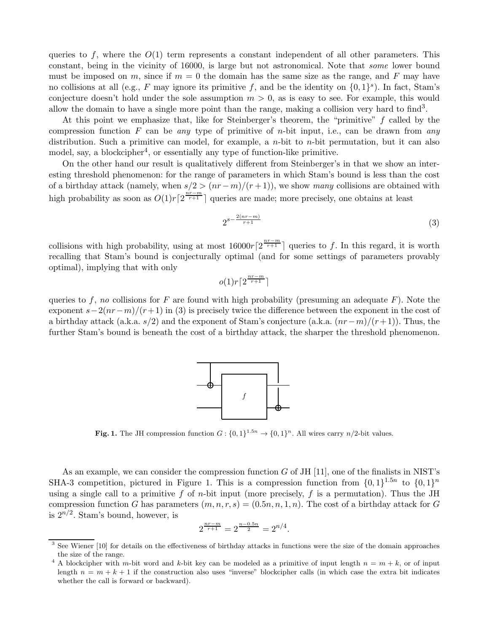queries to f, where the  $O(1)$  term represents a constant independent of all other parameters. This constant, being in the vicinity of 16000, is large but not astronomical. Note that some lower bound must be imposed on m, since if  $m = 0$  the domain has the same size as the range, and F may have no collisions at all (e.g., F may ignore its primitive f, and be the identity on  $\{0,1\}^s$ ). In fact, Stam's conjecture doesn't hold under the sole assumption  $m > 0$ , as is easy to see. For example, this would allow the domain to have a single more point than the range, making a collision very hard to find<sup>3</sup>.

At this point we emphasize that, like for Steinberger's theorem, the "primitive" f called by the compression function F can be any type of primitive of *n*-bit input, i.e., can be drawn from any distribution. Such a primitive can model, for example, a *n*-bit to *n*-bit permutation, but it can also model, say, a blockcipher<sup>4</sup>, or essentially any type of function-like primitive.

On the other hand our result is qualitatively different from Steinberger's in that we show an interesting threshold phenomenon: for the range of parameters in which Stam's bound is less than the cost of a birthday attack (namely, when  $s/2 > (nr - m)/(r + 1)$ ), we show many collisions are obtained with high probability as soon as  $O(1)r\left[2^{\frac{n'-m}{r+1}}\right]$  queries are made; more precisely, one obtains at least

$$
2^{s-\frac{2(nr-m)}{r+1}}\tag{3}
$$

collisions with high probability, using at most  $16000r\left[2^{\frac{nr-m}{r+1}}\right]$  queries to f. In this regard, it is worth recalling that Stam's bound is conjecturally optimal (and for some settings of parameters provably optimal), implying that with only

$$
o(1)r\lceil 2^{\frac{nr-m}{r+1}}\rceil
$$

queries to f, no collisions for F are found with high probability (presuming an adequate  $F$ ). Note the exponent  $s-2(nr-m)/(r+1)$  in (3) is precisely twice the difference between the exponent in the cost of a birthday attack (a.k.a. s/2) and the exponent of Stam's conjecture (a.k.a.  $(nr-m)/(r+1)$ ). Thus, the further Stam's bound is beneath the cost of a birthday attack, the sharper the threshold phenomenon.



**Fig. 1.** The JH compression function  $G: \{0, 1\}^{1.5n} \to \{0, 1\}^n$ . All wires carry  $n/2$ -bit values.

As an example, we can consider the compression function  $G$  of JH [11], one of the finalists in NIST's SHA-3 competition, pictured in Figure 1. This is a compression function from  $\{0,1\}^{1.5n}$  to  $\{0,1\}^n$ using a single call to a primitive f of *n*-bit input (more precisely, f is a permutation). Thus the JH compression function G has parameters  $(m, n, r, s) = (0.5n, n, 1, n)$ . The cost of a birthday attack for G is  $2^{n/2}$ . Stam's bound, however, is

$$
2^{\frac{nr-m}{r+1}} = 2^{\frac{n-0.5n}{2}} = 2^{n/4}.
$$

<sup>&</sup>lt;sup>3</sup> See Wiener [10] for details on the effectiveness of birthday attacks in functions were the size of the domain approaches the size of the range.

<sup>&</sup>lt;sup>4</sup> A blockcipher with m-bit word and k-bit key can be modeled as a primitive of input length  $n = m + k$ , or of input length  $n = m + k + 1$  if the construction also uses "inverse" blockcipher calls (in which case the extra bit indicates whether the call is forward or backward).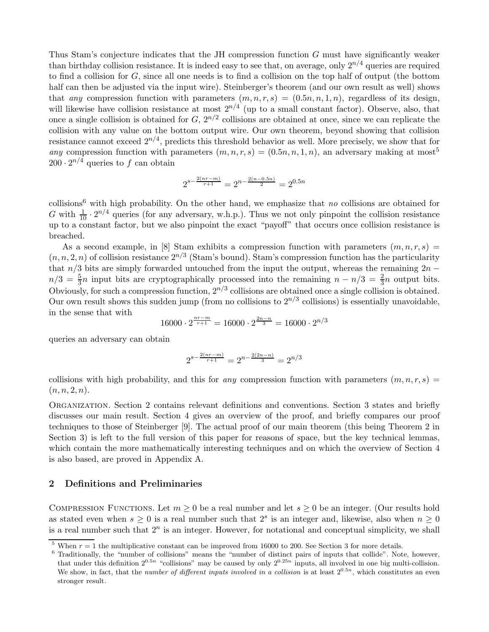Thus Stam's conjecture indicates that the JH compression function G must have significantly weaker than birthday collision resistance. It is indeed easy to see that, on average, only  $2^{n/4}$  queries are required to find a collision for G, since all one needs is to find a collision on the top half of output (the bottom half can then be adjusted via the input wire). Steinberger's theorem (and our own result as well) shows that any compression function with parameters  $(m, n, r, s) = (0.5n, n, 1, n)$ , regardless of its design, will likewise have collision resistance at most  $2^{n/4}$  (up to a small constant factor). Observe, also, that once a single collision is obtained for  $G, 2^{n/2}$  collisions are obtained at once, since we can replicate the collision with any value on the bottom output wire. Our own theorem, beyond showing that collision resistance cannot exceed  $2^{n/4}$ , predicts this threshold behavior as well. More precisely, we show that for any compression function with parameters  $(m, n, r, s) = (0.5n, n, 1, n)$ , an adversary making at most<sup>5</sup>  $200 \cdot 2^{n/4}$  queries to f can obtain

$$
2^{s - \frac{2(nr-m)}{r+1}} = 2^{n - \frac{2(n-0.5n)}{2}} = 2^{0.5n}
$$

collisions<sup>6</sup> with high probability. On the other hand, we emphasize that no collisions are obtained for G with  $\frac{1}{10} \cdot 2^{n/4}$  queries (for any adversary, w.h.p.). Thus we not only pinpoint the collision resistance up to a constant factor, but we also pinpoint the exact "payoff" that occurs once collision resistance is breached.

As a second example, in [8] Stam exhibits a compression function with parameters  $(m, n, r, s)$  =  $(n, n, 2, n)$  of collision resistance  $2^{n/3}$  (Stam's bound). Stam's compression function has the particularity that  $n/3$  bits are simply forwarded untouched from the input the output, whereas the remaining  $2n$  $n/3 = \frac{5}{3}n$  input bits are cryptographically processed into the remaining  $n - n/3 = \frac{2}{3}n$  output bits. Obviously, for such a compression function,  $2^{n/3}$  collisions are obtained once a single collision is obtained. Our own result shows this sudden jump (from no collisions to  $2^{n/3}$  collisions) is essentially unavoidable, in the sense that with

$$
16000 \cdot 2^{\frac{nr-m}{r+1}} = 16000 \cdot 2^{\frac{2n-n}{3}} = 16000 \cdot 2^{n/3}
$$

queries an adversary can obtain

$$
2^{s-\frac{2(nr-m)}{r+1}} = 2^{n-\frac{2(2n-n)}{3}} = 2^{n/3}
$$

collisions with high probability, and this for any compression function with parameters  $(m, n, r, s)$  $(n, n, 2, n).$ 

Organization. Section 2 contains relevant definitions and conventions. Section 3 states and briefly discusses our main result. Section 4 gives an overview of the proof, and briefly compares our proof techniques to those of Steinberger [9]. The actual proof of our main theorem (this being Theorem 2 in Section 3) is left to the full version of this paper for reasons of space, but the key technical lemmas, which contain the more mathematically interesting techniques and on which the overview of Section 4 is also based, are proved in Appendix A.

### 2 Definitions and Preliminaries

COMPRESSION FUNCTIONS. Let  $m \geq 0$  be a real number and let  $s \geq 0$  be an integer. (Our results hold as stated even when  $s \geq 0$  is a real number such that  $2<sup>s</sup>$  is an integer and, likewise, also when  $n \geq 0$ is a real number such that  $2^n$  is an integer. However, for notational and conceptual simplicity, we shall

When  $r = 1$  the multiplicative constant can be improved from 16000 to 200. See Section 3 for more details.

<sup>6</sup> Traditionally, the "number of collisions" means the "number of distinct pairs of inputs that collide". Note, however, that under this definition  $2^{0.5n}$  "collisions" may be caused by only  $2^{0.25n}$  inputs, all involved in one big multi-collision. We show, in fact, that the number of different inputs involved in a collision is at least  $2^{0.5n}$ , which constitutes an even stronger result.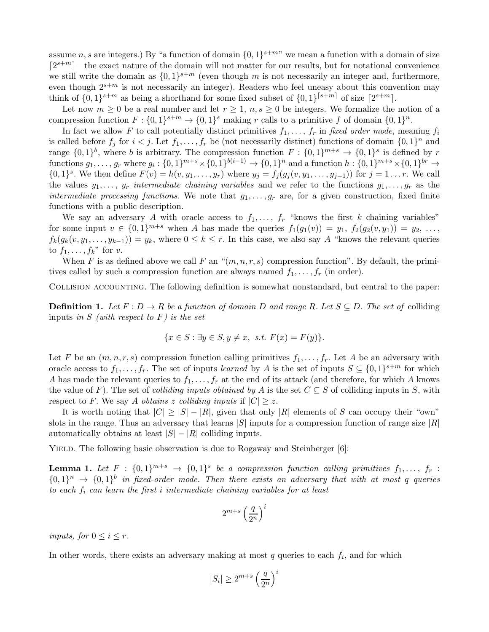assume n, s are integers.) By "a function of domain  $\{0,1\}^{s+m}$ " we mean a function with a domain of size  $\lceil 2^{s+m} \rceil$ —the exact nature of the domain will not matter for our results, but for notational convenience we still write the domain as  $\{0,1\}^{s+m}$  (even though m is not necessarily an integer and, furthermore, even though  $2^{s+m}$  is not necessarily an integer). Readers who feel uneasy about this convention may think of  $\{0,1\}^{s+m}$  as being a shorthand for some fixed subset of  $\{0,1\}^{s+m}$  of size  $\lceil 2^{s+m} \rceil$ .

Let now  $m \geq 0$  be a real number and let  $r \geq 1$ ,  $n, s \geq 0$  be integers. We formalize the notion of a compression function  $F: \{0,1\}^{s+m} \to \{0,1\}^s$  making r calls to a primitive f of domain  $\{0,1\}^n$ .

In fact we allow F to call potentially distinct primitives  $f_1, \ldots, f_r$  in fixed order mode, meaning  $f_i$ is called before  $f_j$  for  $i < j$ . Let  $f_1, \ldots, f_r$  be (not necessarily distinct) functions of domain  $\{0, 1\}^n$  and range  $\{0,1\}^b$ , where b is arbitrary. The compression function  $F: \{0,1\}^{m+s} \to \{0,1\}^s$  is defined by r  $\text{functions } g_1, \ldots, g_r \text{ where } g_i: \{0,1\}^{m+s} \times \{0,1\}^{b(i-1)} \rightarrow \{0,1\}^n \text{ and a function } h: \{0,1\}^{m+s} \times \{0,1\}^{br} \rightarrow$  $\{0,1\}^s$ . We then define  $F(v) = h(v, y_1, \ldots, y_r)$  where  $y_j = f_j(g_j(v, y_1, \ldots, y_{j-1}))$  for  $j = 1 \ldots r$ . We call the values  $y_1, \ldots, y_r$  intermediate chaining variables and we refer to the functions  $g_1, \ldots, g_r$  as the intermediate processing functions. We note that  $g_1, \ldots, g_r$  are, for a given construction, fixed finite functions with a public description.

We say an adversary A with oracle access to  $f_1, \ldots, f_r$  "knows the first k chaining variables" for some input  $v \in \{0,1\}^{m+s}$  when A has made the queries  $f_1(g_1(v)) = y_1, f_2(g_2(v, y_1)) = y_2, ...,$  $f_k(g_k(v, y_1, \ldots, y_{k-1})) = y_k$ , where  $0 \leq k \leq r$ . In this case, we also say A "knows the relevant queries" to  $f_1, \ldots, f_k$ " for v.

When F is as defined above we call F an " $(m, n, r, s)$  compression function". By default, the primitives called by such a compression function are always named  $f_1, \ldots, f_r$  (in order).

Collision accounting. The following definition is somewhat nonstandard, but central to the paper:

**Definition 1.** Let  $F: D \to R$  be a function of domain D and range R. Let  $S \subseteq D$ . The set of colliding inputs in S (with respect to  $F$ ) is the set

$$
\{x \in S : \exists y \in S, y \neq x, \ s.t. \ F(x) = F(y)\}.
$$

Let F be an  $(m, n, r, s)$  compression function calling primitives  $f_1, \ldots, f_r$ . Let A be an adversary with oracle access to  $f_1, \ldots, f_r$ . The set of inputs learned by A is the set of inputs  $S \subseteq \{0,1\}^{s+m}$  for which A has made the relevant queries to  $f_1, \ldots, f_r$  at the end of its attack (and therefore, for which A knows the value of F). The set of *colliding inputs obtained by A* is the set  $C \subseteq S$  of colliding inputs in S, with respect to F. We say A obtains z colliding inputs if  $|C| \geq z$ .

It is worth noting that  $|C| \geq |S| - |R|$ , given that only  $|R|$  elements of S can occupy their "own" slots in the range. Thus an adversary that learns  $|S|$  inputs for a compression function of range size  $|R|$ automatically obtains at least  $|S| - |R|$  colliding inputs.

YIELD. The following basic observation is due to Rogaway and Steinberger [6]:

**Lemma 1.** Let  $F : \{0,1\}^{m+s} \rightarrow \{0,1\}^s$  be a compression function calling primitives  $f_1, \ldots, f_r$ :  $\{0,1\}^n \rightarrow \{0,1\}^b$  in fixed-order mode. Then there exists an adversary that with at most q queries to each  $f_i$  can learn the first i intermediate chaining variables for at least

$$
2^{m+s}\left(\frac{q}{2^n}\right)^i
$$

inputs, for  $0 \leq i \leq r$ .

In other words, there exists an adversary making at most  $q$  queries to each  $f_i$ , and for which

$$
|S_i| \ge 2^{m+s} \left(\frac{q}{2^n}\right)^i
$$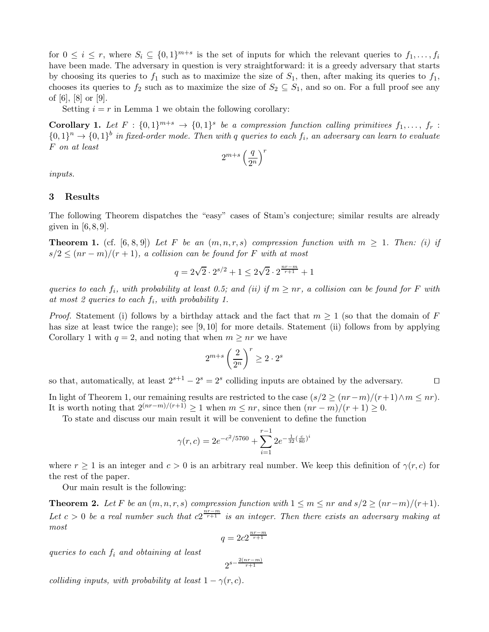for  $0 \leq i \leq r$ , where  $S_i \subseteq \{0,1\}^{m+s}$  is the set of inputs for which the relevant queries to  $f_1, \ldots, f_i$ have been made. The adversary in question is very straightforward: it is a greedy adversary that starts by choosing its queries to  $f_1$  such as to maximize the size of  $S_1$ , then, after making its queries to  $f_1$ , chooses its queries to  $f_2$  such as to maximize the size of  $S_2 \subseteq S_1$ , and so on. For a full proof see any of [6], [8] or [9].

Setting  $i = r$  in Lemma 1 we obtain the following corollary:

**Corollary 1.** Let  $F: \{0,1\}^{m+s} \to \{0,1\}^s$  be a compression function calling primitives  $f_1, \ldots, f_r$ :  $\{0,1\}^n \rightarrow \{0,1\}^b$  in fixed-order mode. Then with q queries to each  $f_i$ , an adversary can learn to evaluate F on at least

$$
2^{m+s}\left(\frac{q}{2^n}\right)^r
$$

inputs.

## 3 Results

The following Theorem dispatches the "easy" cases of Stam's conjecture; similar results are already given in  $[6, 8, 9]$ .

**Theorem 1.** (cf. [6, 8, 9]) Let F be an  $(m, n, r, s)$  compression function with  $m \ge 1$ . Then: (i) if  $s/2 \leq (nr-m)/(r+1)$ , a collision can be found for F with at most

$$
q = 2\sqrt{2} \cdot 2^{s/2} + 1 \le 2\sqrt{2} \cdot 2^{\frac{nr-m}{r+1}} + 1
$$

queries to each  $f_i$ , with probability at least 0.5; and (ii) if  $m \geq nr$ , a collision can be found for F with at most 2 queries to each  $f_i$ , with probability 1.

*Proof.* Statement (i) follows by a birthday attack and the fact that  $m \geq 1$  (so that the domain of F has size at least twice the range); see [9,10] for more details. Statement (ii) follows from by applying Corollary 1 with  $q = 2$ , and noting that when  $m \geq nr$  we have

$$
2^{m+s} \left(\frac{2}{2^n}\right)^r \ge 2 \cdot 2^s
$$

so that, automatically, at least  $2^{s+1} - 2^s = 2^s$  colliding inputs are obtained by the adversary. □

In light of Theorem 1, our remaining results are restricted to the case  $(s/2 \geq (nr-m)/(r+1)\wedge m \leq nr)$ . It is worth noting that  $2^{(nr-m)/(r+1)} \geq 1$  when  $m \leq nr$ , since then  $(nr-m)/(r+1) \geq 0$ .

To state and discuss our main result it will be convenient to define the function

$$
\gamma(r,c) = 2e^{-c^2/5760} + \sum_{i=1}^{r-1} 2e^{-\frac{1}{32}(\frac{c}{80})^i}
$$

where  $r \ge 1$  is an integer and  $c > 0$  is an arbitrary real number. We keep this definition of  $\gamma(r, c)$  for the rest of the paper.

Our main result is the following:

**Theorem 2.** Let F be an  $(m, n, r, s)$  compression function with  $1 \le m \le nr$  and  $s/2 \ge (nr-m)/(r+1)$ . Let  $c > 0$  be a real number such that  $c2^{\frac{n_r-m}{r+1}}$  is an integer. Then there exists an adversary making at most

$$
q = 2c2^{\frac{nr-m}{r+1}}
$$

queries to each  $f_i$  and obtaining at least

$$
2^{s-\frac{2(nr-m)}{r+1}}
$$

colliding inputs, with probability at least  $1 - \gamma(r, c)$ .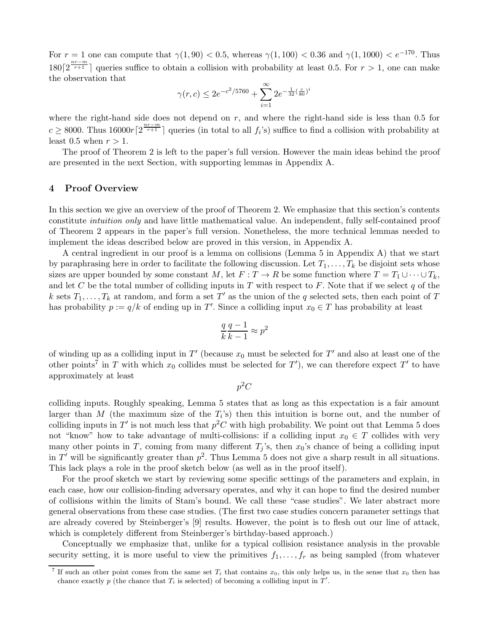For  $r = 1$  one can compute that  $\gamma(1, 90) < 0.5$ , whereas  $\gamma(1, 100) < 0.36$  and  $\gamma(1, 1000) < e^{-170}$ . Thus  $180\left[2^{\frac{nr-m}{r+1}}\right]$  queries suffice to obtain a collision with probability at least 0.5. For  $r > 1$ , one can make the observation that

$$
\gamma(r, c) \leq 2e^{-c^2/5760} + \sum_{i=1}^{\infty} 2e^{-\frac{1}{32}(\frac{c}{80})^i}
$$

where the right-hand side does not depend on  $r$ , and where the right-hand side is less than 0.5 for  $c \geq 8000$ . Thus  $16000r\left[2^{\frac{nr-m}{r+1}}\right]$  queries (in total to all  $f_i$ 's) suffice to find a collision with probability at least 0.5 when  $r > 1$ .

The proof of Theorem 2 is left to the paper's full version. However the main ideas behind the proof are presented in the next Section, with supporting lemmas in Appendix A.

## 4 Proof Overview

In this section we give an overview of the proof of Theorem 2. We emphasize that this section's contents constitute intuition only and have little mathematical value. An independent, fully self-contained proof of Theorem 2 appears in the paper's full version. Nonetheless, the more technical lemmas needed to implement the ideas described below are proved in this version, in Appendix A.

A central ingredient in our proof is a lemma on collisions (Lemma 5 in Appendix A) that we start by paraphrasing here in order to facilitate the following discussion. Let  $T_1, \ldots, T_k$  be disjoint sets whose sizes are upper bounded by some constant M, let  $F: T \to R$  be some function where  $T = T_1 \cup \cdots \cup T_k$ , and let C be the total number of colliding inputs in T with respect to F. Note that if we select q of the k sets  $T_1, \ldots, T_k$  at random, and form a set T' as the union of the q selected sets, then each point of T has probability  $p := q/k$  of ending up in T'. Since a colliding input  $x_0 \in T$  has probability at least

$$
\frac{q}{k} \frac{q-1}{k-1} \approx p^2
$$

of winding up as a colliding input in  $T'$  (because  $x_0$  must be selected for  $T'$  and also at least one of the other points<sup>7</sup> in T with which  $x_0$  collides must be selected for T'), we can therefore expect T' to have approximately at least

 $p^2C$ 

colliding inputs. Roughly speaking, Lemma 5 states that as long as this expectation is a fair amount larger than M (the maximum size of the  $T_i$ 's) then this intuition is borne out, and the number of colliding inputs in T' is not much less that  $p^2C$  with high probability. We point out that Lemma 5 does not "know" how to take advantage of multi-collisions: if a colliding input  $x_0 \in T$  collides with very many other points in T, coming from many different  $T_i$ 's, then  $x_0$ 's chance of being a colliding input in T' will be significantly greater than  $p^2$ . Thus Lemma 5 does not give a sharp result in all situations. This lack plays a role in the proof sketch below (as well as in the proof itself).

For the proof sketch we start by reviewing some specific settings of the parameters and explain, in each case, how our collision-finding adversary operates, and why it can hope to find the desired number of collisions within the limits of Stam's bound. We call these "case studies". We later abstract more general observations from these case studies. (The first two case studies concern parameter settings that are already covered by Steinberger's [9] results. However, the point is to flesh out our line of attack, which is completely different from Steinberger's birthday-based approach.)

Conceptually we emphasize that, unlike for a typical collision resistance analysis in the provable security setting, it is more useful to view the primitives  $f_1, \ldots, f_r$  as being sampled (from whatever

<sup>7</sup> If such an other point comes from the same set  $T_i$  that contains  $x_0$ , this only helps us, in the sense that  $x_0$  then has chance exactly p (the chance that  $T_i$  is selected) of becoming a colliding input in  $T'$ .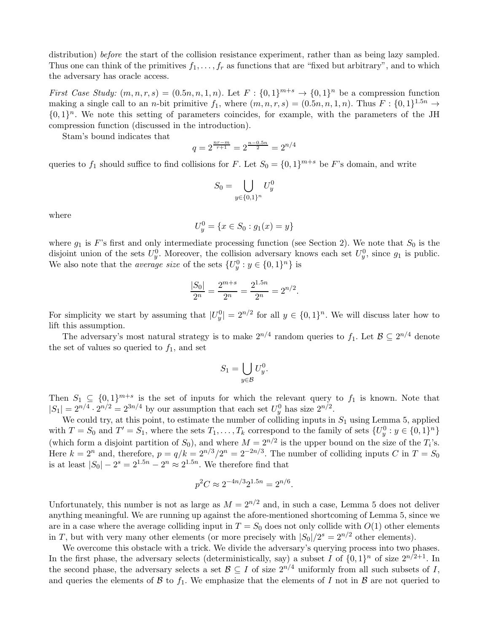distribution) before the start of the collision resistance experiment, rather than as being lazy sampled. Thus one can think of the primitives  $f_1, \ldots, f_r$  as functions that are "fixed but arbitrary", and to which the adversary has oracle access.

First Case Study:  $(m, n, r, s) = (0.5n, n, 1, n)$ . Let  $F: \{0, 1\}^{m+s} \to \{0, 1\}^n$  be a compression function making a single call to an *n*-bit primitive  $f_1$ , where  $(m, n, r, s) = (0.5n, n, 1, n)$ . Thus  $F : \{0, 1\}^{1.5n} \to$  $\{0,1\}^n$ . We note this setting of parameters coincides, for example, with the parameters of the JH compression function (discussed in the introduction).

Stam's bound indicates that

$$
q = 2^{\frac{nr - m}{r + 1}} = 2^{\frac{n - 0.5n}{2}} = 2^{n/4}
$$

queries to  $f_1$  should suffice to find collisions for F. Let  $S_0 = \{0, 1\}^{m+s}$  be F's domain, and write

$$
S_0=\bigcup_{y\in\{0,1\}^n}U_y^0
$$

where

$$
U_y^0 = \{ x \in S_0 : g_1(x) = y \}
$$

where  $g_1$  is F's first and only intermediate processing function (see Section 2). We note that  $S_0$  is the disjoint union of the sets  $U_y^0$ . Moreover, the collision adversary knows each set  $U_y^0$ , since  $g_1$  is public. We also note that the *average size* of the sets  $\{U_y^0 : y \in \{0,1\}^n\}$  is

$$
\frac{|S_0|}{2^n} = \frac{2^{m+s}}{2^n} = \frac{2^{1.5n}}{2^n} = 2^{n/2}.
$$

For simplicity we start by assuming that  $|U_y^0| = 2^{n/2}$  for all  $y \in \{0, 1\}^n$ . We will discuss later how to lift this assumption.

The adversary's most natural strategy is to make  $2^{n/4}$  random queries to  $f_1$ . Let  $\mathcal{B} \subseteq 2^{n/4}$  denote the set of values so queried to  $f_1$ , and set

$$
S_1 = \bigcup_{y \in \mathcal{B}} U_y^0.
$$

Then  $S_1 \subseteq \{0,1\}^{m+s}$  is the set of inputs for which the relevant query to  $f_1$  is known. Note that  $|S_1| = 2^{n/4} \cdot 2^{n/2} = 2^{3n/4}$  by our assumption that each set  $U_y^0$  has size  $2^{n/2}$ .

We could try, at this point, to estimate the number of colliding inputs in  $S_1$  using Lemma 5, applied with  $T = S_0$  and  $T' = S_1$ , where the sets  $T_1, \ldots, T_k$  correspond to the family of sets  $\{U_y^0 : y \in \{0,1\}^n\}$ (which form a disjoint partition of  $S_0$ ), and where  $M = 2^{n/2}$  is the upper bound on the size of the  $T_i$ 's. Here  $k = 2^n$  and, therefore,  $p = q/k = 2^{n/3}/2^n = 2^{-2n/3}$ . The number of colliding inputs C in  $T = S_0$ is at least  $|S_0| - 2^s = 2^{1.5n} - 2^n \approx 2^{1.5n}$ . We therefore find that

$$
p^2C \approx 2^{-4n/3}2^{1.5n} = 2^{n/6}.
$$

Unfortunately, this number is not as large as  $M = 2^{n/2}$  and, in such a case, Lemma 5 does not deliver anything meaningful. We are running up against the afore-mentioned shortcoming of Lemma 5, since we are in a case where the average colliding input in  $T = S_0$  does not only collide with  $O(1)$  other elements in T, but with very many other elements (or more precisely with  $|S_0|/2^s = 2^{n/2}$  other elements).

We overcome this obstacle with a trick. We divide the adversary's querying process into two phases. In the first phase, the adversary selects (deterministically, say) a subset I of  $\{0,1\}^n$  of size  $2^{n/2+1}$ . In the second phase, the adversary selects a set  $\mathcal{B} \subseteq I$  of size  $2^{n/4}$  uniformly from all such subsets of I, and queries the elements of  $\beta$  to  $f_1$ . We emphasize that the elements of I not in  $\beta$  are not queried to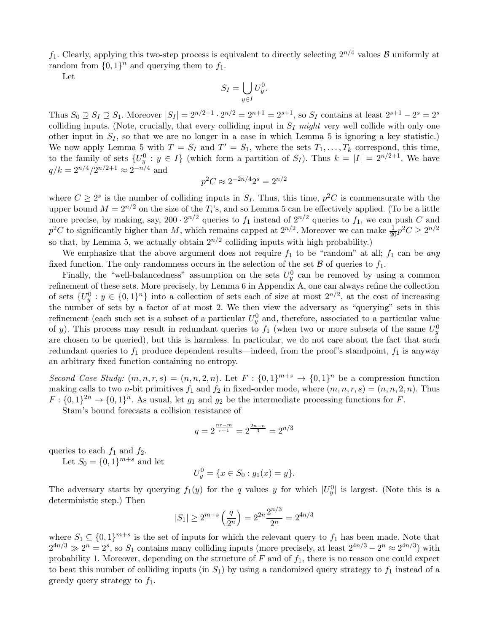$f_1$ . Clearly, applying this two-step process is equivalent to directly selecting  $2^{n/4}$  values  $\beta$  uniformly at random from  $\{0,1\}^n$  and querying them to  $f_1$ .

Let

$$
S_I = \bigcup_{y \in I} U_y^0.
$$

Thus  $S_0 \supseteq S_1 \supseteq S_1$ . Moreover  $|S_I| = 2^{n/2+1} \cdot 2^{n/2} = 2^{n+1} = 2^{s+1}$ , so  $S_I$  contains at least  $2^{s+1} - 2^s = 2^s$ colliding inputs. (Note, crucially, that every colliding input in  $S_I$  might very well collide with only one other input in  $S_I$ , so that we are no longer in a case in which Lemma 5 is ignoring a key statistic.) We now apply Lemma 5 with  $T = S_I$  and  $T' = S_1$ , where the sets  $T_1, \ldots, T_k$  correspond, this time, to the family of sets  $\{U_y^0 : y \in I\}$  (which form a partition of  $S_I$ ). Thus  $k = |I| = 2^{n/2+1}$ . We have  $q/k = 2^{n/4}/2^{n/2+1} \approx 2^{-n/4}$  and

$$
p^2C \approx 2^{-2n/4}2^s = 2^{n/2}
$$

where  $C \geq 2^s$  is the number of colliding inputs in  $S_I$ . Thus, this time,  $p^2C$  is commensurate with the upper bound  $M = 2^{n/2}$  on the size of the  $T_i$ 's, and so Lemma 5 can be effectively applied. (To be a little more precise, by making, say,  $200 \cdot 2^{n/2}$  queries to  $f_1$  instead of  $2^{n/2}$  queries to  $f_1$ , we can push C and  $p^2C$  to significantly higher than M, which remains capped at  $2^{n/2}$ . Moreover we can make  $\frac{1}{20}p^2C \ge 2^{n/2}$ so that, by Lemma 5, we actually obtain  $2^{n/2}$  colliding inputs with high probability.)

We emphasize that the above argument does not require  $f_1$  to be "random" at all;  $f_1$  can be any fixed function. The only randomness occurs in the selection of the set  $\beta$  of queries to  $f_1$ .

Finally, the "well-balancedness" assumption on the sets  $U_y^0$  can be removed by using a common refinement of these sets. More precisely, by Lemma 6 in Appendix A, one can always refine the collection of sets  $\{U_y^0 : y \in \{0,1\}^n\}$  into a collection of sets each of size at most  $2^{n/2}$ , at the cost of increasing the number of sets by a factor of at most 2. We then view the adversary as "querying" sets in this refinement (each such set is a subset of a particular  $U_y^0$  and, therefore, associated to a particular value of y). This process may result in redundant queries to  $f_1$  (when two or more subsets of the same  $U_y^0$ are chosen to be queried), but this is harmless. In particular, we do not care about the fact that such redundant queries to  $f_1$  produce dependent results—indeed, from the proof's standpoint,  $f_1$  is anyway an arbitrary fixed function containing no entropy.

Second Case Study:  $(m, n, r, s) = (n, n, 2, n)$ . Let  $F : \{0, 1\}^{m+s} \to \{0, 1\}^n$  be a compression function making calls to two *n*-bit primitives  $f_1$  and  $f_2$  in fixed-order mode, where  $(m, n, r, s) = (n, n, 2, n)$ . Thus  $F: \{0,1\}^{2n} \to \{0,1\}^n$ . As usual, let  $g_1$  and  $g_2$  be the intermediate processing functions for F.

Stam's bound forecasts a collision resistance of

$$
q = 2^{\frac{nr - m}{r + 1}} = 2^{\frac{2n - n}{3}} = 2^{n/3}
$$

queries to each  $f_1$  and  $f_2$ .

Let  $S_0 = \{0, 1\}^{m+s}$  and let

$$
U_y^0 = \{ x \in S_0 : g_1(x) = y \}.
$$

The adversary starts by querying  $f_1(y)$  for the q values y for which  $|U_y^0|$  is largest. (Note this is a deterministic step.) Then

$$
|S_1| \ge 2^{m+s} \left(\frac{q}{2^n}\right) = 2^{2n} \frac{2^{n/3}}{2^n} = 2^{4n/3}
$$

where  $S_1 \subseteq \{0,1\}^{m+s}$  is the set of inputs for which the relevant query to  $f_1$  has been made. Note that  $2^{4n/3} \gg 2^n = 2^s$ , so  $S_1$  contains many colliding inputs (more precisely, at least  $2^{4n/3} - 2^n \approx 2^{4n/3}$ ) with probability 1. Moreover, depending on the structure of  $F$  and of  $f_1$ , there is no reason one could expect to beat this number of colliding inputs (in  $S_1$ ) by using a randomized query strategy to  $f_1$  instead of a greedy query strategy to  $f_1$ .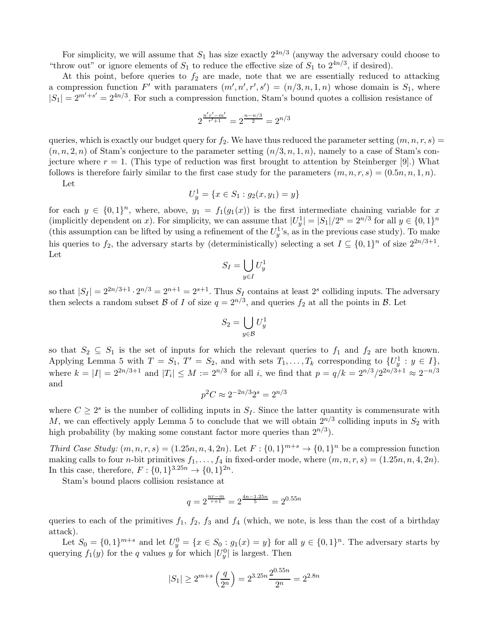For simplicity, we will assume that  $S_1$  has size exactly  $2^{4n/3}$  (anyway the adversary could choose to "throw out" or ignore elements of  $S_1$  to reduce the effective size of  $S_1$  to  $2^{4n/3}$ , if desired).

At this point, before queries to  $f_2$  are made, note that we are essentially reduced to attacking a compression function F' with paramaters  $(m', n', r', s') = (n/3, n, 1, n)$  whose domain is  $S_1$ , where  $|S_1| = 2^{m'+s'} = 2^{4n/3}$ . For such a compression function, Stam's bound quotes a collision resistance of

$$
2^{\frac{n'r'-m'}{r'+1}} = 2^{\frac{n-n/3}{2}} = 2^{n/3}
$$

queries, which is exactly our budget query for  $f_2$ . We have thus reduced the parameter setting  $(m, n, r, s)$  =  $(n, n, 2, n)$  of Stam's conjecture to the parameter setting  $(n/3, n, 1, n)$ , namely to a case of Stam's conjecture where  $r = 1$ . (This type of reduction was first brought to attention by Steinberger [9].) What follows is therefore fairly similar to the first case study for the parameters  $(m, n, r, s) = (0.5n, n, 1, n)$ .

Let

$$
U_y^1 = \{ x \in S_1 : g_2(x, y_1) = y \}
$$

for each  $y \in \{0,1\}^n$ , where, above,  $y_1 = f_1(g_1(x))$  is the first intermediate chaining variable for x (implicitly dependent on x). For simplicity, we can assume that  $|U_y^1| = |S_1|/2^n = 2^{n/3}$  for all  $y \in \{0,1\}^n$ (this assumption can be lifted by using a refinement of the  $U_y^1$ 's, as in the previous case study). To make his queries to  $f_2$ , the adversary starts by (deterministically) selecting a set  $I \subseteq \{0,1\}^n$  of size  $2^{2n/3+1}$ . Let

$$
S_I = \bigcup_{y \in I} U_y^1
$$

so that  $|S_I| = 2^{2n/3+1} \cdot 2^{n/3} = 2^{n+1} = 2^{s+1}$ . Thus  $S_I$  contains at least  $2^s$  colliding inputs. The adversary then selects a random subset  $\mathcal{B}$  of  $I$  of size  $q = 2^{n/3}$ , and queries  $f_2$  at all the points in  $\mathcal{B}$ . Let

$$
S_2 = \bigcup_{y \in \mathcal{B}} U_y^1
$$

so that  $S_2 \subseteq S_1$  is the set of inputs for which the relevant queries to  $f_1$  and  $f_2$  are both known. Applying Lemma 5 with  $T = S_1$ ,  $T' = S_2$ , and with sets  $T_1, \ldots, T_k$  corresponding to  $\{U_y^1 : y \in I\}$ , where  $k = |I| = 2^{2n/3+1}$  and  $|T_i| \leq M := 2^{n/3}$  for all i, we find that  $p = q/k = 2^{n/3}/2^{2n/3+1} \approx 2^{-n/3}$ and

$$
p^2C \approx 2^{-2n/3}2^s = 2^{n/3}
$$

where  $C \geq 2^s$  is the number of colliding inputs in  $S_I$ . Since the latter quantity is commensurate with M, we can effectively apply Lemma 5 to conclude that we will obtain  $2^{n/3}$  colliding inputs in  $S_2$  with high probability (by making some constant factor more queries than  $2^{n/3}$ ).

Third Case Study:  $(m, n, r, s) = (1.25n, n, 4, 2n)$ . Let  $F: \{0, 1\}^{m+s} \to \{0, 1\}^n$  be a compression function making calls to four *n*-bit primitives  $f_1, \ldots, f_4$  in fixed-order mode, where  $(m, n, r, s) = (1.25n, n, 4, 2n)$ . In this case, therefore,  $F: \{0,1\}^{3.25n} \to \{0,1\}^{2n}$ .

Stam's bound places collision resistance at

$$
q = 2^{\frac{nr - m}{r + 1}} = 2^{\frac{4n - 1.25n}{5}} = 2^{0.55n}
$$

queries to each of the primitives  $f_1$ ,  $f_2$ ,  $f_3$  and  $f_4$  (which, we note, is less than the cost of a birthday attack).

Let  $S_0 = \{0,1\}^{m+s}$  and let  $U_y^0 = \{x \in S_0 : g_1(x) = y\}$  for all  $y \in \{0,1\}^n$ . The adversary starts by querying  $f_1(y)$  for the q values y for which  $|U_y^0|$  is largest. Then

$$
|S_1| \ge 2^{m+s} \left(\frac{q}{2^n}\right) = 2^{3.25n} \frac{2^{0.55n}}{2^n} = 2^{2.8n}
$$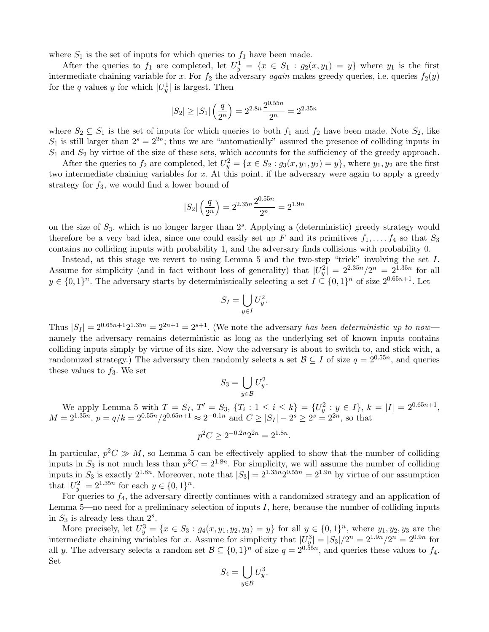where  $S_1$  is the set of inputs for which queries to  $f_1$  have been made.

After the queries to  $f_1$  are completed, let  $U_y^1 = \{x \in S_1 : g_2(x, y_1) = y\}$  where  $y_1$  is the first intermediate chaining variable for x. For  $f_2$  the adversary again makes greedy queries, i.e. queries  $f_2(y)$ for the q values y for which  $|U_y^1|$  is largest. Then

$$
|S_2| \ge |S_1| \left(\frac{q}{2^n}\right) = 2^{2.8n} \frac{2^{0.55n}}{2^n} = 2^{2.35n}
$$

where  $S_2 \subseteq S_1$  is the set of inputs for which queries to both  $f_1$  and  $f_2$  have been made. Note  $S_2$ , like  $S_1$  is still larger than  $2^s = 2^{2n}$ ; thus we are "automatically" assured the presence of colliding inputs in  $S_1$  and  $S_2$  by virtue of the size of these sets, which accounts for the sufficiency of the greedy approach.

After the queries to  $f_2$  are completed, let  $U_y^2 = \{x \in S_2 : g_3(x, y_1, y_2) = y\}$ , where  $y_1, y_2$  are the first two intermediate chaining variables for  $x$ . At this point, if the adversary were again to apply a greedy strategy for  $f_3$ , we would find a lower bound of

$$
|S_2| \left(\frac{q}{2^n}\right) = 2^{2.35n} \frac{2^{0.55n}}{2^n} = 2^{1.9n}
$$

on the size of  $S_3$ , which is no longer larger than  $2<sup>s</sup>$ . Applying a (deterministic) greedy strategy would therefore be a very bad idea, since one could easily set up F and its primitives  $f_1, \ldots, f_4$  so that  $S_3$ contains no colliding inputs with probability 1, and the adversary finds collisions with probability 0.

Instead, at this stage we revert to using Lemma 5 and the two-step "trick" involving the set I. Assume for simplicity (and in fact without loss of generality) that  $|U_y^2| = 2^{2.35n}/2^n = 2^{1.35n}$  for all  $y \in \{0,1\}^n$ . The adversary starts by deterministically selecting a set  $I \subseteq \{0,1\}^n$  of size  $2^{0.65n+1}$ . Let

$$
S_I = \bigcup_{y \in I} U_y^2.
$$

Thus  $|S_I| = 2^{0.65n+1}2^{1.35n} = 2^{2n+1} = 2^{s+1}$ . (We note the adversary has been deterministic up to now namely the adversary remains deterministic as long as the underlying set of known inputs contains colliding inputs simply by virtue of its size. Now the adversary is about to switch to, and stick with, a randomized strategy.) The adversary then randomly selects a set  $\mathcal{B} \subseteq I$  of size  $q = 2^{0.55n}$ , and queries these values to  $f_3$ . We set

$$
S_3 = \bigcup_{y \in \mathcal{B}} U_y^2.
$$

We apply Lemma 5 with  $T = S_I$ ,  $T' = S_3$ ,  $\{T_i : 1 \le i \le k\} = \{U_y^2 : y \in I\}$ ,  $k = |I| = 2^{0.65n+1}$ ,  $M = 2^{1.35n}$ ,  $p = q/k = 2^{0.55n}/2^{0.65n+1} \approx 2^{-0.1n}$  and  $C \ge |S_I| - 2^s \ge 2^s = 2^{2n}$ , so that

$$
p^2C \ge 2^{-0.2n}2^{2n} = 2^{1.8n}.
$$

In particular,  $p^2C \gg M$ , so Lemma 5 can be effectively applied to show that the number of colliding inputs in  $S_3$  is not much less than  $p^2C = 2^{1.8n}$ . For simplicity, we will assume the number of colliding inputs in  $S_3$  is exactly  $2^{1.8n}$ . Moreover, note that  $|S_3| = 2^{1.35n} 2^{0.55n} = 2^{1.9n}$  by virtue of our assumption that  $|U_y^2| = 2^{1.35n}$  for each  $y \in \{0, 1\}^n$ .

For queries to  $f_4$ , the adversary directly continues with a randomized strategy and an application of Lemma 5—no need for a preliminary selection of inputs I, here, because the number of colliding inputs in  $S_3$  is already less than  $2^s$ .

More precisely, let  $U_y^3 = \{x \in S_3 : g_4(x, y_1, y_2, y_3) = y\}$  for all  $y \in \{0, 1\}^n$ , where  $y_1, y_2, y_3$  are the intermediate chaining variables for x. Assume for simplicity that  $|U_{\mathcal{Y}}^3| = |S_3|/2^n = 2^{1.9n}/2^n = 2^{0.9n}$  for all y. The adversary selects a random set  $\mathcal{B} \subseteq \{0,1\}^n$  of size  $q = 2^{0.55n}$ , and queries these values to  $f_4$ . Set

$$
S_4 = \bigcup_{y \in \mathcal{B}} U_y^3.
$$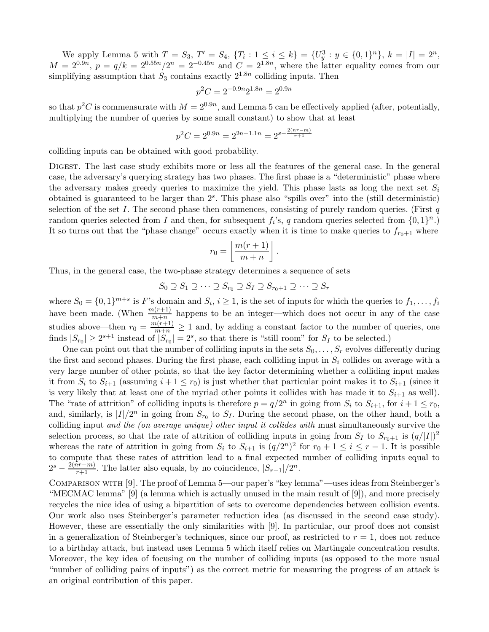We apply Lemma 5 with  $T = S_3$ ,  $T' = S_4$ ,  $\{T_i : 1 \le i \le k\} = \{U_y^3 : y \in \{0,1\}^n\}$ ,  $k = |I| = 2^n$ ,  $M = 2^{0.9n}$ ,  $p = q/k = 2^{0.55n}/2^n = 2^{-0.45n}$  and  $C = 2^{1.8n}$ , where the latter equality comes from our simplifying assumption that  $S_3$  contains exactly  $2^{1.8n}$  colliding inputs. Then

$$
p^2C = 2^{-0.9n}2^{1.8n} = 2^{0.9n}
$$

so that  $p^2C$  is commensurate with  $M = 2^{0.9n}$ , and Lemma 5 can be effectively applied (after, potentially, multiplying the number of queries by some small constant) to show that at least

$$
p^2C = 2^{0.9n} = 2^{2n-1.1n} = 2^{s - \frac{2(nr-m)}{r+1}}
$$

colliding inputs can be obtained with good probability.

Digest. The last case study exhibits more or less all the features of the general case. In the general case, the adversary's querying strategy has two phases. The first phase is a "deterministic" phase where the adversary makes greedy queries to maximize the yield. This phase lasts as long the next set  $S_i$ obtained is guaranteed to be larger than  $2<sup>s</sup>$ . This phase also "spills over" into the (still deterministic) selection of the set I. The second phase then commences, consisting of purely random queries. (First  $q$ random queries selected from I and then, for subsequent  $f_i$ 's, q random queries selected from  $\{0,1\}^n$ .) It so turns out that the "phase change" occurs exactly when it is time to make queries to  $f_{r_0+1}$  where

$$
r_0 = \left\lfloor \frac{m(r+1)}{m+n} \right\rfloor.
$$

Thus, in the general case, the two-phase strategy determines a sequence of sets

$$
S_0 \supseteq S_1 \supseteq \cdots \supseteq S_{r_0} \supseteq S_I \supseteq S_{r_0+1} \supseteq \cdots \supseteq S_r
$$

where  $S_0 = \{0,1\}^{m+s}$  is F's domain and  $S_i, i \geq 1$ , is the set of inputs for which the queries to  $f_1, \ldots, f_i$ have been made. (When  $\frac{m(r+1)}{m+n}$  happens to be an integer—which does not occur in any of the case studies above—then  $r_0 = \frac{m(r+1)}{m+n} \ge 1$  and, by adding a constant factor to the number of queries, one finds  $|S_{r_0}| \geq 2^{s+1}$  instead of  $|S_{r_0}| = 2^s$ , so that there is "still room" for  $S_I$  to be selected.)

One can point out that the number of colliding inputs in the sets  $S_0, \ldots, S_r$  evolves differently during the first and second phases. During the first phase, each colliding input in  $S_i$  collides on average with a very large number of other points, so that the key factor determining whether a colliding input makes it from  $S_i$  to  $S_{i+1}$  (assuming  $i+1 \leq r_0$ ) is just whether that particular point makes it to  $S_{i+1}$  (since it is very likely that at least one of the myriad other points it collides with has made it to  $S_{i+1}$  as well). The "rate of attrition" of colliding inputs is therefore  $p = q/2^n$  in going from  $S_i$  to  $S_{i+1}$ , for  $i+1 \le r_0$ , and, similarly, is  $|I|/2^n$  in going from  $S_{r_0}$  to  $S_I$ . During the second phase, on the other hand, both a colliding input and the (on average unique) other input it collides with must simultaneously survive the selection process, so that the rate of attrition of colliding inputs in going from  $S_I$  to  $S_{r_0+1}$  is  $(q/|I|)^2$ whereas the rate of attrition in going from  $S_i$  to  $S_{i+1}$  is  $(q/2^n)^2$  for  $r_0 + 1 \le i \le r - 1$ . It is possible to compute that these rates of attrition lead to a final expected number of colliding inputs equal to  $2^{s} - \frac{2(nr-m)}{r+1}$ . The latter also equals, by no coincidence,  $|S_{r-1}|/2^{n}$ .

Comparison with [9]. The proof of Lemma 5—our paper's "key lemma"—uses ideas from Steinberger's "MECMAC lemma" [9] (a lemma which is actually unused in the main result of [9]), and more precisely recycles the nice idea of using a bipartition of sets to overcome dependencies between collision events. Our work also uses Steinberger's parameter reduction idea (as discussed in the second case study). However, these are essentially the only similarities with [9]. In particular, our proof does not consist in a generalization of Steinberger's techniques, since our proof, as restricted to  $r = 1$ , does not reduce to a birthday attack, but instead uses Lemma 5 which itself relies on Martingale concentration results. Moreover, the key idea of focusing on the number of colliding inputs (as opposed to the more usual "number of colliding pairs of inputs") as the correct metric for measuring the progress of an attack is an original contribution of this paper.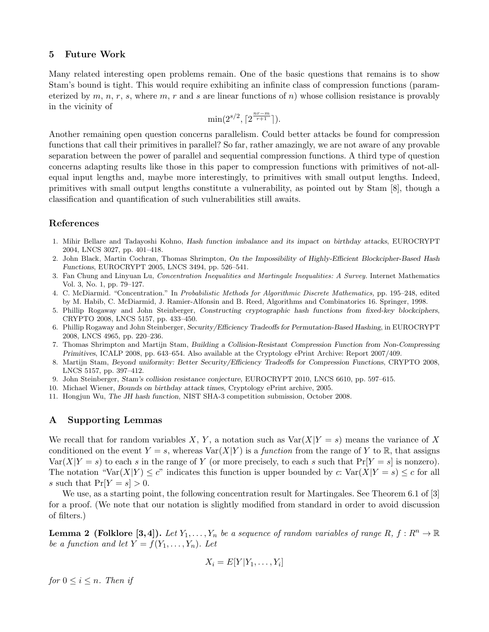## 5 Future Work

Many related interesting open problems remain. One of the basic questions that remains is to show Stam's bound is tight. This would require exhibiting an infinite class of compression functions (parameterized by  $m, n, r, s$ , where  $m, r$  and s are linear functions of n) whose collision resistance is provably in the vicinity of

$$
\min(2^{s/2}, \lceil 2^{\frac{nr-m}{r+1}} \rceil).
$$

Another remaining open question concerns parallelism. Could better attacks be found for compression functions that call their primitives in parallel? So far, rather amazingly, we are not aware of any provable separation between the power of parallel and sequential compression functions. A third type of question concerns adapting results like those in this paper to compression functions with primitives of not-allequal input lengths and, maybe more interestingly, to primitives with small output lengths. Indeed, primitives with small output lengths constitute a vulnerability, as pointed out by Stam [8], though a classification and quantification of such vulnerabilities still awaits.

# References

- 1. Mihir Bellare and Tadayoshi Kohno, Hash function imbalance and its impact on birthday attacks, EUROCRYPT 2004, LNCS 3027, pp. 401–418.
- 2. John Black, Martin Cochran, Thomas Shrimpton, On the Impossibility of Highly-Efficient Blockcipher-Based Hash Functions, EUROCRYPT 2005, LNCS 3494, pp. 526–541.
- 3. Fan Chung and Linyuan Lu, Concentration Inequalities and Martingale Inequalities: A Survey. Internet Mathematics Vol. 3, No. 1, pp. 79–127.
- 4. C. McDiarmid. "Concentration." In Probabilistic Methods for Algorithmic Discrete Mathematics, pp. 195–248, edited by M. Habib, C. McDiarmid, J. Ramier-Alfonsin and B. Reed, Algorithms and Combinatorics 16. Springer, 1998.
- 5. Phillip Rogaway and John Steinberger, Constructing cryptographic hash functions from fixed-key blockciphers, CRYPTO 2008, LNCS 5157, pp. 433–450.
- 6. Phillip Rogaway and John Steinberger, Security/Efficiency Tradeoffs for Permutation-Based Hashing, in EUROCRYPT 2008, LNCS 4965, pp. 220–236.
- 7. Thomas Shrimpton and Martijn Stam, Building a Collision-Resistant Compression Function from Non-Compressing Primitives, ICALP 2008, pp. 643–654. Also available at the Cryptology ePrint Archive: Report 2007/409.
- 8. Martijn Stam, Beyond uniformity: Better Security/Efficiency Tradeoffs for Compression Functions, CRYPTO 2008, LNCS 5157, pp. 397–412.
- 9. John Steinberger, Stam's collision resistance conjecture, EUROCRYPT 2010, LNCS 6610, pp. 597–615.
- 10. Michael Wiener, Bounds on birthday attack times, Cryptology ePrint archive, 2005.
- 11. Hongjun Wu, The JH hash function, NIST SHA-3 competition submission, October 2008.

# A Supporting Lemmas

We recall that for random variables X, Y, a notation such as  $Var(X|Y = s)$  means the variance of X conditioned on the event  $Y = s$ , whereas  $\text{Var}(X|Y)$  is a *function* from the range of Y to R, that assigns  $\text{Var}(X|Y = s)$  to each s in the range of Y (or more precisely, to each s such that  $\Pr[Y = s]$  is nonzero). The notation "Var $(X|Y) \leq c$ " indicates this function is upper bounded by c: Var $(X|Y = s) \leq c$  for all s such that  $Pr[Y = s] > 0$ .

We use, as a starting point, the following concentration result for Martingales. See Theorem 6.1 of [3] for a proof. (We note that our notation is slightly modified from standard in order to avoid discussion of filters.)

**Lemma 2 (Folklore [3,4]).** Let  $Y_1, \ldots, Y_n$  be a sequence of random variables of range R,  $f : \mathbb{R}^n \to \mathbb{R}$ be a function and let  $Y = f(Y_1, \ldots, Y_n)$ . Let

$$
X_i = E[Y|Y_1,\ldots,Y_i]
$$

for  $0 \leq i \leq n$ . Then if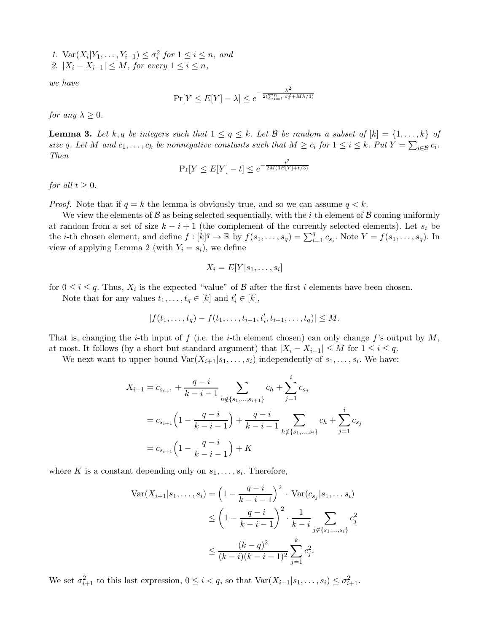1.  $\text{Var}(X_i|Y_1,\ldots,Y_{i-1}) \leq \sigma_i^2$  for  $1 \leq i \leq n$ , and 2.  $|X_i - X_{i-1}| \leq M$ , for every  $1 \leq i \leq n$ ,

we have

$$
\Pr[Y \le E[Y] - \lambda] \le e^{-\frac{\lambda^2}{2(\sum_{i=1}^n \sigma_i^2 + M\lambda/3)}}
$$

for any  $\lambda \geq 0$ .

**Lemma 3.** Let k, q be integers such that  $1 \le q \le k$ . Let B be random a subset of  $[k] = \{1, \ldots, k\}$  of size q. Let M and  $c_1, \ldots, c_k$  be nonnegative constants such that  $M \geq c_i$  for  $1 \leq i \leq k$ . Put  $Y = \sum_{i \in \mathcal{B}} c_i$ . Then

$$
\Pr[Y \le E[Y] - t] \le e^{-\frac{t^2}{2M(3E[Y] + t/3)}}
$$

for all  $t \geq 0$ .

*Proof.* Note that if  $q = k$  the lemma is obviously true, and so we can assume  $q < k$ .

We view the elements of  $\mathcal B$  as being selected sequentially, with the *i*-th element of  $\mathcal B$  coming uniformly at random from a set of size  $k - i + 1$  (the complement of the currently selected elements). Let  $s_i$  be the *i*-th chosen element, and define  $f : [k]^q \to \mathbb{R}$  by  $f(s_1, \ldots, s_q) = \sum_{i=1}^q c_{s_i}$ . Note  $Y = f(s_1, \ldots, s_q)$ . In view of applying Lemma 2 (with  $Y_i = s_i$ ), we define

$$
X_i = E[Y|s_1, \dots, s_i]
$$

for  $0 \leq i \leq q$ . Thus,  $X_i$  is the expected "value" of  $\beta$  after the first i elements have been chosen.

Note that for any values  $t_1, \ldots, t_q \in [k]$  and  $t'_i \in [k]$ ,

$$
|f(t_1,\ldots,t_q)-f(t_1,\ldots,t_{i-1},t'_i,t_{i+1},\ldots,t_q)|\leq M.
$$

That is, changing the *i*-th input of f (i.e. the *i*-th element chosen) can only change f's output by  $M$ , at most. It follows (by a short but standard argument) that  $|X_i - X_{i-1}| \leq M$  for  $1 \leq i \leq q$ .

We next want to upper bound  $\text{Var}(X_{i+1}|s_1,\ldots,s_i)$  independently of  $s_1,\ldots,s_i$ . We have:

$$
X_{i+1} = c_{s_{i+1}} + \frac{q-i}{k-i-1} \sum_{h \notin \{s_1, \dots, s_{i+1}\}} c_h + \sum_{j=1}^i c_{s_j}
$$
  
=  $c_{s_{i+1}} \left(1 - \frac{q-i}{k-i-1}\right) + \frac{q-i}{k-i-1} \sum_{h \notin \{s_1, \dots, s_i\}} c_h + \sum_{j=1}^i c_{s_j}$   
=  $c_{s_{i+1}} \left(1 - \frac{q-i}{k-i-1}\right) + K$ 

where K is a constant depending only on  $s_1, \ldots, s_i$ . Therefore,

$$
\operatorname{Var}(X_{i+1}|s_1,\ldots,s_i) = \left(1 - \frac{q-i}{k-i-1}\right)^2 \cdot \operatorname{Var}(c_{s_j}|s_1,\ldots,s_i)
$$
  

$$
\leq \left(1 - \frac{q-i}{k-i-1}\right)^2 \cdot \frac{1}{k-i} \sum_{j \notin \{s_1,\ldots,s_i\}} c_j^2
$$
  

$$
\leq \frac{(k-q)^2}{(k-i)(k-i-1)^2} \sum_{j=1}^k c_j^2.
$$

We set  $\sigma_{i+1}^2$  to this last expression,  $0 \leq i < q$ , so that  $\text{Var}(X_{i+1}|s_1,\ldots,s_i) \leq \sigma_{i+1}^2$ .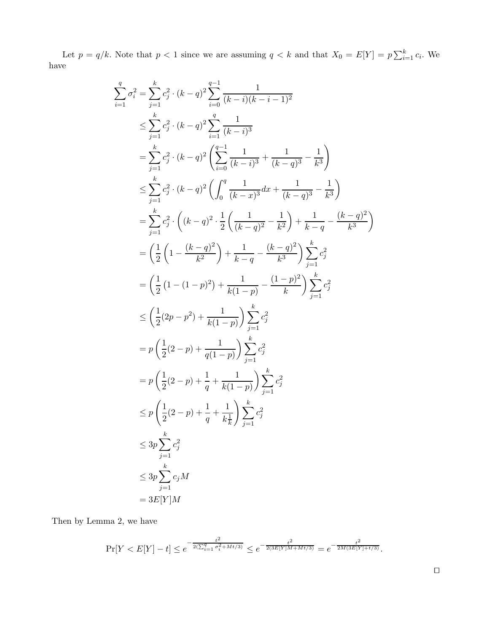Let  $p = q/k$ . Note that  $p < 1$  since we are assuming  $q < k$  and that  $X_0 = E[Y] = p \sum_{i=1}^{k} c_i$ . We have

$$
\sum_{i=1}^{q} \sigma_i^2 = \sum_{j=1}^{k} c_j^2 \cdot (k-q)^2 \sum_{i=0}^{q-1} \frac{1}{(k-i)(k-i-1)^2}
$$
\n
$$
\leq \sum_{j=1}^{k} c_j^2 \cdot (k-q)^2 \sum_{i=1}^{q} \frac{1}{(k-i)^3}
$$
\n
$$
= \sum_{j=1}^{k} c_j^2 \cdot (k-q)^2 \left( \sum_{i=0}^{q-1} \frac{1}{(k-i)^3} + \frac{1}{(k-q)^3} - \frac{1}{k^3} \right)
$$
\n
$$
\leq \sum_{j=1}^{k} c_j^2 \cdot (k-q)^2 \left( \int_0^q \frac{1}{(k-x)^3} dx + \frac{1}{(k-q)^3} - \frac{1}{k^3} \right)
$$
\n
$$
= \sum_{j=1}^{k} c_j^2 \cdot \left( (k-q)^2 \cdot \frac{1}{2} \left( \frac{1}{(k-q)^2} - \frac{1}{k^2} \right) + \frac{1}{k-q} - \frac{(k-q)^2}{k^3} \right)
$$
\n
$$
= \left( \frac{1}{2} \left( 1 - \frac{(k-q)^2}{k^2} \right) + \frac{1}{k-q} - \frac{(k-q)^2}{k^3} \right) \sum_{j=1}^{k} c_j^2
$$
\n
$$
= \left( \frac{1}{2} (1 - (1-p)^2) + \frac{1}{k(1-p)} - \frac{(1-p)^2}{k} \right) \sum_{j=1}^{k} c_j^2
$$
\n
$$
\leq \left( \frac{1}{2} (2p - p^2) + \frac{1}{k(1-p)} \right) \sum_{j=1}^{k} c_j^2
$$
\n
$$
= p \left( \frac{1}{2} (2-p) + \frac{1}{q} + \frac{1}{k(1-p)} \right) \sum_{j=1}^{k} c_j^2
$$
\n
$$
\leq p \left( \frac{1}{2} (2-p) + \frac{1}{q} + \frac{1}{k^2} \right) \sum_{j=1}^{k} c_j^2
$$
\n
$$
\leq 3p \sum_{j=1}^{k} c_j M
$$
\n
$$
= 3E[Y]M
$$

Then by Lemma 2, we have

$$
\Pr[Y < E[Y] - t] \le e^{-\frac{t^2}{2(\sum_{i=1}^q \sigma_i^2 + Mt/3)}} \le e^{-\frac{t^2}{2(3E[Y]M + Mt/3)}} = e^{-\frac{t^2}{2M(3E[Y] + t/3)}}.
$$

⊓⊔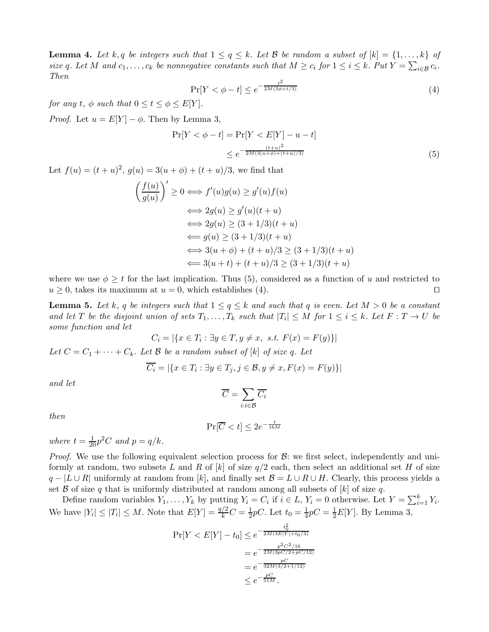**Lemma 4.** Let k, q be integers such that  $1 \leq q \leq k$ . Let B be random a subset of  $[k] = \{1, \ldots, k\}$  of size q. Let M and  $c_1, \ldots, c_k$  be nonnegative constants such that  $M \geq c_i$  for  $1 \leq i \leq k$ . Put  $Y = \sum_{i \in \mathcal{B}} c_i$ . Then

$$
\Pr[Y < \phi - t] \le e^{-\frac{t^2}{2M(3\phi + t/3)}}\tag{4}
$$

for any t,  $\phi$  such that  $0 \le t \le \phi \le E[Y]$ .

*Proof.* Let  $u = E[Y] - \phi$ . Then by Lemma 3,

$$
\Pr[Y < \phi - t] = \Pr[Y < E[Y] - u - t] \\
\leq e^{-\frac{(t+u)^2}{2M(3(u+\phi)+(t+u)/3)}}\n \tag{5}
$$

Let  $f(u) = (t+u)^2$ ,  $g(u) = 3(u + \phi) + (t+u)/3$ , we find that

$$
\left(\frac{f(u)}{g(u)}\right)' \ge 0 \iff f'(u)g(u) \ge g'(u)f(u)
$$
  

$$
\iff 2g(u) \ge g'(u)(t+u)
$$
  

$$
\iff 2g(u) \ge (3+1/3)(t+u)
$$
  

$$
\iff g(u) \ge (3+1/3)(t+u)
$$
  

$$
\iff 3(u+\phi) + (t+u)/3 \ge (3+1/3)(t+u)
$$
  

$$
\iff 3(u+t) + (t+u)/3 \ge (3+1/3)(t+u)
$$

where we use  $\phi \geq t$  for the last implication. Thus (5), considered as a function of u and restricted to  $u > 0$ , takes its maximum at  $u = 0$ , which establishes (4).  $u \geq 0$ , takes its maximum at  $u = 0$ , which establishes (4).

**Lemma 5.** Let k, q be integers such that  $1 \leq q \leq k$  and such that q is even. Let  $M > 0$  be a constant and let T be the disjoint union of sets  $T_1, \ldots, T_k$  such that  $|T_i| \leq M$  for  $1 \leq i \leq k$ . Let  $F: T \to U$  be some function and let

$$
C_i = |\{x \in T_i : \exists y \in T, y \neq x, \ s.t. \ F(x) = F(y)\}|
$$

Let  $C = C_1 + \cdots + C_k$ . Let  $\mathcal B$  be a random subset of [k] of size q. Let

$$
\overline{C_i} = |\{x \in T_i : \exists y \in T_j, j \in \mathcal{B}, y \neq x, F(x) = F(y)\}|
$$

and let

$$
\overline{C}=\sum_{i:i\in\mathcal{B}}\overline{C_i}
$$

then

$$
\Pr[\overline{C} < t] \le 2e^{-\frac{t}{16M}}
$$

where  $t = \frac{1}{20}p^2C$  and  $p = q/k$ .

*Proof.* We use the following equivalent selection process for  $\mathcal{B}$ : we first select, independently and uniformly at random, two subsets L and R of |k| of size  $q/2$  each, then select an additional set H of size  $q - |L \cup R|$  uniformly at random from [k], and finally set  $\mathcal{B} = L \cup R \cup H$ . Clearly, this process yields a set  $\beta$  of size q that is uniformly distributed at random among all subsets of [k] of size q.

Define random variables  $Y_1, \ldots, Y_k$  by putting  $Y_i = C_i$  if  $i \in L$ ,  $Y_i = 0$  otherwise. Let  $Y = \sum_{i=1}^k Y_i$ . We have  $|Y_i| \leq |T_i| \leq M$ . Note that  $E[Y] = \frac{q/2}{k}C = \frac{1}{2}pC$ . Let  $t_0 = \frac{1}{4}pC = \frac{1}{2}E[Y]$ . By Lemma 3,

$$
\Pr[Y < E[Y] - t_0] \le e^{-\frac{t_0^2}{2M(3E[Y] + t_0/3)}}
$$
\n
$$
= e^{-\frac{p^2 C^2 / 16}{2M(3pC/2 + pC/12)}}
$$
\n
$$
= e^{-\frac{pC}{32M(3/2 + 1/12)}}
$$
\n
$$
\le e^{-\frac{pC}{51M}}.
$$